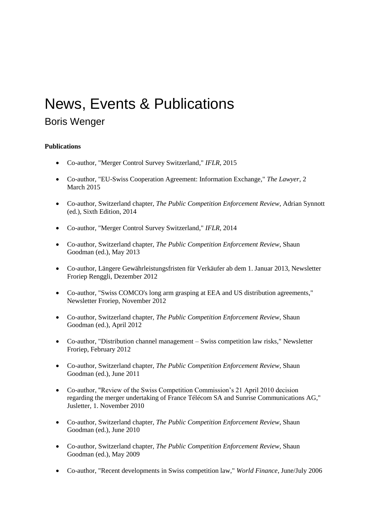## News, Events & Publications

## Boris Wenger

## **Publications**

- Co-author, "Merger Control Survey Switzerland," *IFLR*, 2015
- Co-author, "EU-Swiss Cooperation Agreement: Information Exchange," *The Lawyer*, 2 March 2015
- Co-author, Switzerland chapter, *The Public Competition Enforcement Review*, Adrian Synnott (ed.), Sixth Edition, 2014
- Co-author, "Merger Control Survey Switzerland," *IFLR*, 2014
- Co-author, Switzerland chapter, *The Public Competition Enforcement Review*, Shaun Goodman (ed.), May 2013
- Co-author, Längere Gewährleistungsfristen für Verkäufer ab dem 1. Januar 2013, Newsletter Froriep Renggli, Dezember 2012
- Co-author, "Swiss COMCO's long arm grasping at EEA and US distribution agreements," Newsletter Froriep, November 2012
- Co-author, Switzerland chapter, *The Public Competition Enforcement Review*, Shaun Goodman (ed.), April 2012
- Co-author, "Distribution channel management Swiss competition law risks," Newsletter Froriep, February 2012
- Co-author, Switzerland chapter, *The Public Competition Enforcement Review*, Shaun Goodman (ed.), June 2011
- Co-author, "Review of the Swiss Competition Commission's 21 April 2010 decision regarding the merger undertaking of France Télécom SA and Sunrise Communications AG," Jusletter, 1. November 2010
- Co-author, Switzerland chapter, *The Public Competition Enforcement Review*, Shaun Goodman (ed.), June 2010
- Co-author, Switzerland chapter, *The Public Competition Enforcement Review*, Shaun Goodman (ed.), May 2009
- Co-author, "Recent developments in Swiss competition law," *World Finance*, June/July 2006